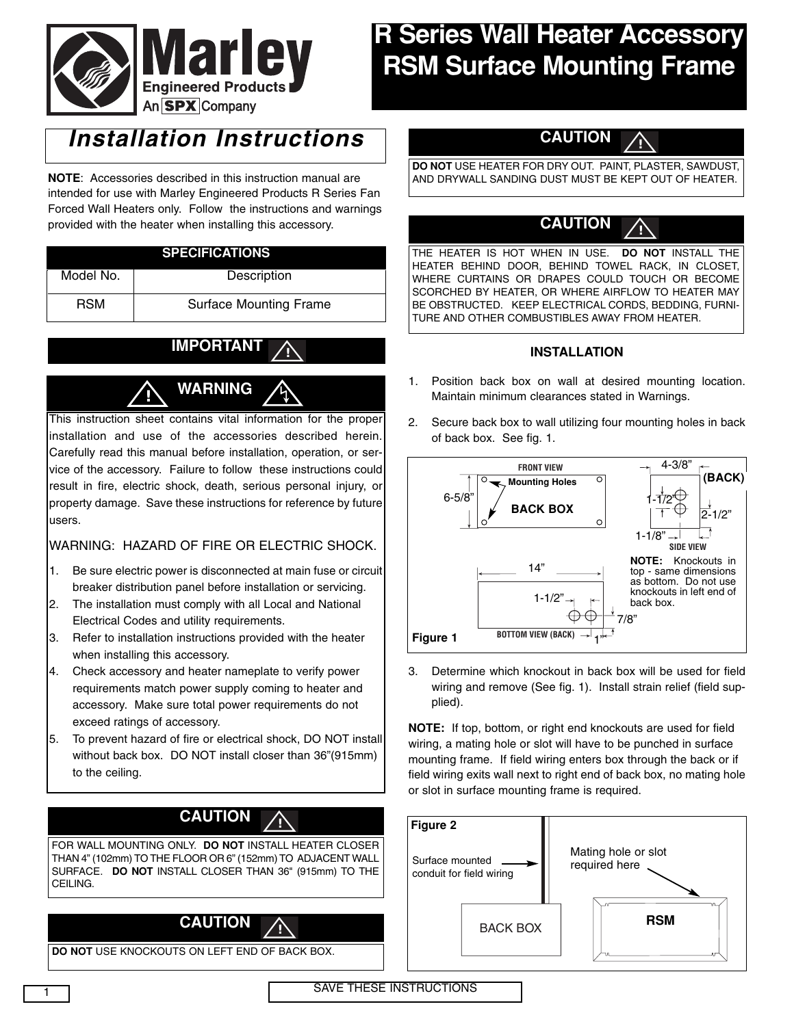

# **R Series Wall Heater Accessory RSM Surface Mounting Frame**

## *Installation Instructions*

**NOTE**: Accessories described in this instruction manual are intended for use with Marley Engineered Products R Series Fan Forced Wall Heaters only. Follow the instructions and warnings provided with the heater when installing this accessory.

### **SPECIFICATIONS**

| Model No.  | Description                   |
|------------|-------------------------------|
| <b>RSM</b> | <b>Surface Mounting Frame</b> |

#### **IMPORTANT !**



This instruction sheet contains vital information for the proper installation and use of the accessories described herein. Carefully read this manual before installation, operation, or service of the accessory. Failure to follow these instructions could result in fire, electric shock, death, serious personal injury, or property damage. Save these instructions for reference by future users.

## WARNING: HAZARD OF FIRE OR ELECTRIC SHOCK.

- 1. Be sure electric power is disconnected at main fuse or circuit breaker distribution panel before installation or servicing.
- 2. The installation must comply with all Local and National Electrical Codes and utility requirements.
- 3. Refer to installation instructions provided with the heater when installing this accessory.
- 4. Check accessory and heater nameplate to verify power requirements match power supply coming to heater and accessory. Make sure total power requirements do not exceed ratings of accessory.
- 5. To prevent hazard of fire or electrical shock, DO NOT install without back box. DO NOT install closer than 36"(915mm) to the ceiling.

#### **CAUTION !**

FOR WALL MOUNTING ONLY. **DO NOT** INSTALL HEATER CLOSER THAN 4" (102mm) TO THE FLOOR OR 6" (152mm) TO ADJACENT WALL SURFACE. **DO NOT** INSTALL CLOSER THAN 36" (915mm) TO THE CEILING.



**DO NOT** USE KNOCKOUTS ON LEFT END OF BACK BOX.



**DO NOT** USE HEATER FOR DRY OUT. PAINT, PLASTER, SAWDUST, AND DRYWALL SANDING DUST MUST BE KEPT OUT OF HEATER.

#### **CAUTION !**

THE HEATER IS HOT WHEN IN USE. **DO NOT** INSTALL THE HEATER BEHIND DOOR, BEHIND TOWEL RACK, IN CLOSET, WHERE CURTAINS OR DRAPES COULD TOUCH OR BECOME SCORCHED BY HEATER, OR WHERE AIRFLOW TO HEATER MAY BE OBSTRUCTED. KEEP ELECTRICAL CORDS, BEDDING, FURNI-TURE AND OTHER COMBUSTIBLES AWAY FROM HEATER.

### **INSTALLATION**

- 1. Position back box on wall at desired mounting location. Maintain minimum clearances stated in Warnings.
- 2. Secure back box to wall utilizing four mounting holes in back of back box. See fig. 1.



3. Determine which knockout in back box will be used for field wiring and remove (See fig. 1). Install strain relief (field supplied).

**NOTE:** If top, bottom, or right end knockouts are used for field wiring, a mating hole or slot will have to be punched in surface mounting frame. If field wiring enters box through the back or if field wiring exits wall next to right end of back box, no mating hole or slot in surface mounting frame is required.



**SAVE THESE INSTRUCTIONS**